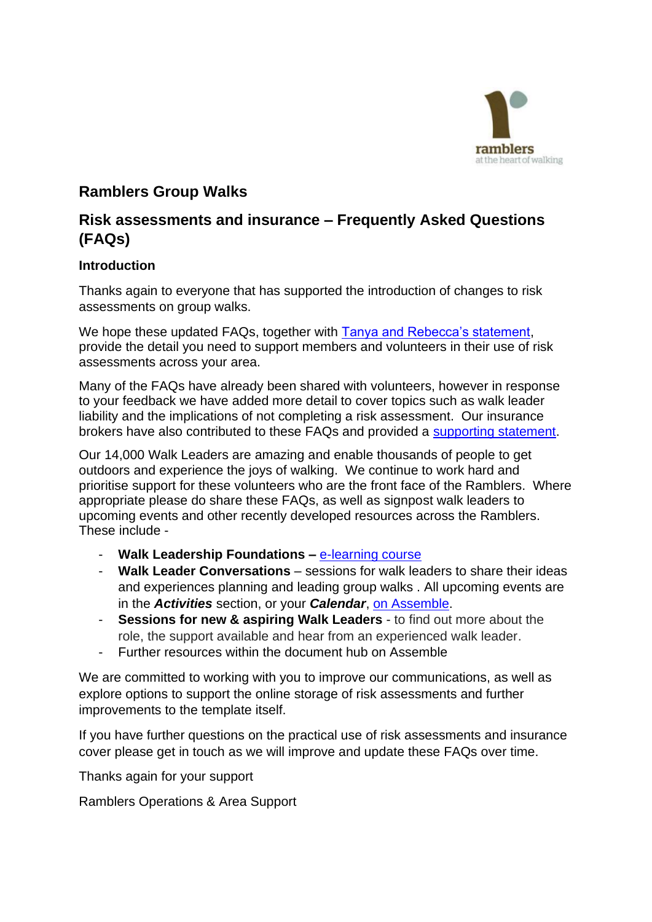

## **Ramblers Group Walks**

## **Risk assessments and insurance – Frequently Asked Questions (FAQs)**

#### **Introduction**

Thanks again to everyone that has supported the introduction of changes to risk assessments on group walks.

We hope these updated FAQs, together with [Tanya and Rebecca's statement,](https://volunteer.ramblers.org.uk/portal/news/risk-assessments-hear-from-tanya-and-rebecca) provide the detail you need to support members and volunteers in their use of risk assessments across your area.

Many of the FAQs have already been shared with volunteers, however in response to your feedback we have added more detail to cover topics such as walk leader liability and the implications of not completing a risk assessment. Our insurance brokers have also contributed to these FAQs and provided a [supporting statement.](https://volunteer.ramblers.org.uk/portal/hub#folder=514&document=7208)

Our 14,000 Walk Leaders are amazing and enable thousands of people to get outdoors and experience the joys of walking. We continue to work hard and prioritise support for these volunteers who are the front face of the Ramblers. Where appropriate please do share these FAQs, as well as signpost walk leaders to upcoming events and other recently developed resources across the Ramblers. These include -

- **Walk Leadership Foundations –** [e-learning course](https://www.youtube.com/watch?app=desktop&v=He7noQnnD6A)
- **Walk Leader Conversations** sessions for walk leaders to share their ideas and experiences planning and leading group walks . All upcoming events are in the *Activities* section, or your *Calendar*, [on Assemble.](https://volunteer.ramblers.org.uk/portal/event/index#type=upcoming&filter=invitations)
- **Sessions for new & aspiring Walk Leaders** to find out more about the role, the support available and hear from an experienced walk leader.
- Further resources within the document hub on Assemble

We are committed to working with you to improve our communications, as well as explore options to support the online storage of risk assessments and further improvements to the template itself.

If you have further questions on the practical use of risk assessments and insurance cover please get in touch as we will improve and update these FAQs over time.

Thanks again for your support

Ramblers Operations & Area Support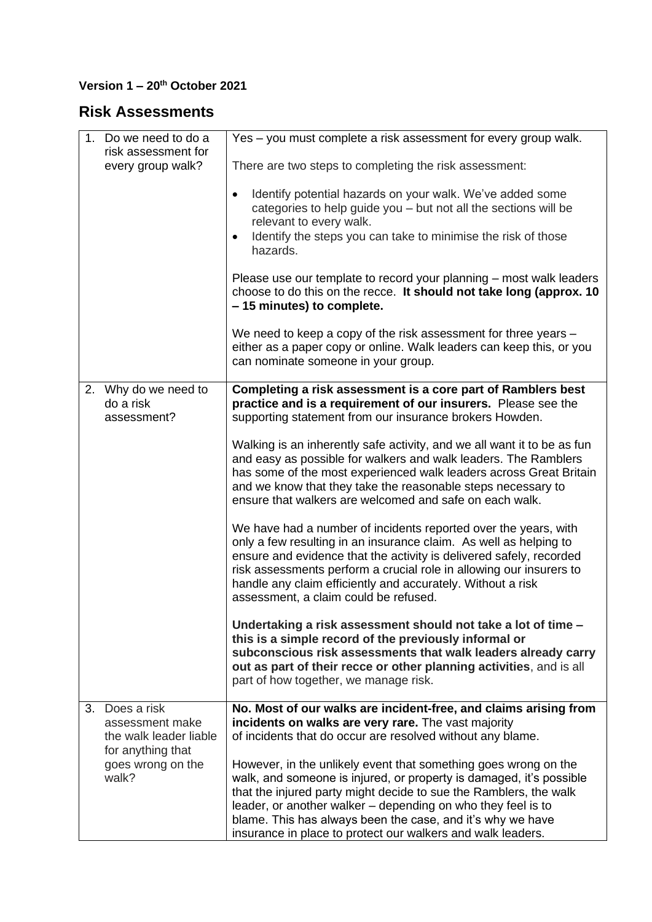### **Version 1 – 20th October 2021**

# **Risk Assessments**

| 1. Do we need to do a                           | Yes - you must complete a risk assessment for every group walk.                                                                                                                                                                                                                                                                                                                                          |
|-------------------------------------------------|----------------------------------------------------------------------------------------------------------------------------------------------------------------------------------------------------------------------------------------------------------------------------------------------------------------------------------------------------------------------------------------------------------|
| risk assessment for                             |                                                                                                                                                                                                                                                                                                                                                                                                          |
| every group walk?                               | There are two steps to completing the risk assessment:                                                                                                                                                                                                                                                                                                                                                   |
|                                                 | Identify potential hazards on your walk. We've added some<br>$\bullet$<br>categories to help guide you - but not all the sections will be<br>relevant to every walk.<br>Identify the steps you can take to minimise the risk of those<br>$\bullet$<br>hazards.                                                                                                                                           |
|                                                 | Please use our template to record your planning – most walk leaders<br>choose to do this on the recce. It should not take long (approx. 10<br>-15 minutes) to complete.                                                                                                                                                                                                                                  |
|                                                 | We need to keep a copy of the risk assessment for three years -<br>either as a paper copy or online. Walk leaders can keep this, or you<br>can nominate someone in your group.                                                                                                                                                                                                                           |
| 2. Why do we need to                            | Completing a risk assessment is a core part of Ramblers best                                                                                                                                                                                                                                                                                                                                             |
| do a risk                                       | practice and is a requirement of our insurers. Please see the                                                                                                                                                                                                                                                                                                                                            |
| assessment?                                     | supporting statement from our insurance brokers Howden.                                                                                                                                                                                                                                                                                                                                                  |
|                                                 | Walking is an inherently safe activity, and we all want it to be as fun<br>and easy as possible for walkers and walk leaders. The Ramblers<br>has some of the most experienced walk leaders across Great Britain<br>and we know that they take the reasonable steps necessary to<br>ensure that walkers are welcomed and safe on each walk.                                                              |
|                                                 | We have had a number of incidents reported over the years, with<br>only a few resulting in an insurance claim. As well as helping to<br>ensure and evidence that the activity is delivered safely, recorded<br>risk assessments perform a crucial role in allowing our insurers to<br>handle any claim efficiently and accurately. Without a risk<br>assessment, a claim could be refused.               |
|                                                 | Undertaking a risk assessment should not take a lot of time -<br>this is a simple record of the previously informal or<br>subconscious risk assessments that walk leaders already carry<br>out as part of their recce or other planning activities, and is all<br>part of how together, we manage risk.                                                                                                  |
| 3. Does a risk                                  | No. Most of our walks are incident-free, and claims arising from                                                                                                                                                                                                                                                                                                                                         |
| assessment make<br>the walk leader liable       | incidents on walks are very rare. The vast majority<br>of incidents that do occur are resolved without any blame.                                                                                                                                                                                                                                                                                        |
| for anything that<br>goes wrong on the<br>walk? | However, in the unlikely event that something goes wrong on the<br>walk, and someone is injured, or property is damaged, it's possible<br>that the injured party might decide to sue the Ramblers, the walk<br>leader, or another walker – depending on who they feel is to<br>blame. This has always been the case, and it's why we have<br>insurance in place to protect our walkers and walk leaders. |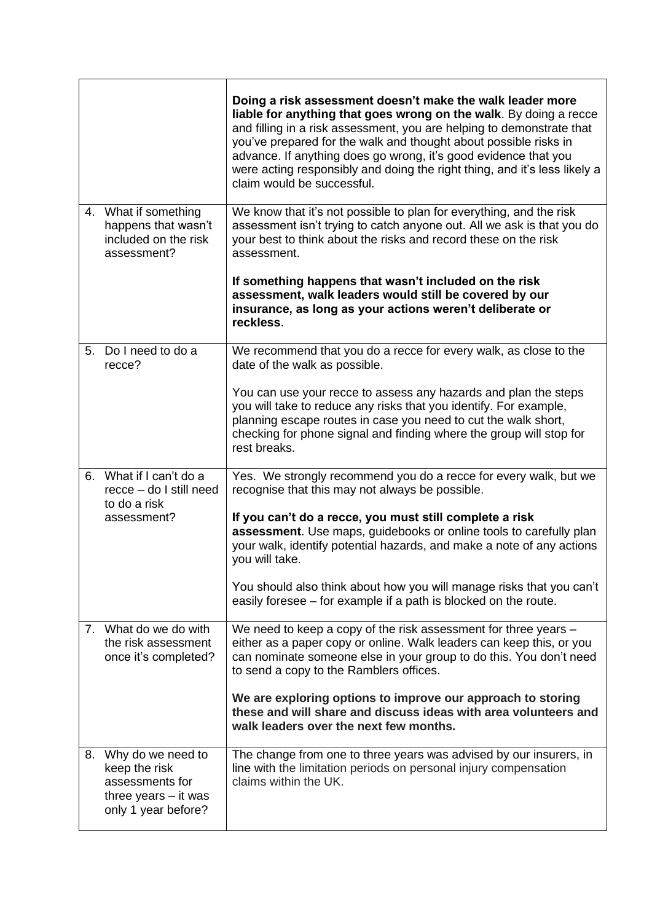|             |                                                                                                           | Doing a risk assessment doesn't make the walk leader more<br>liable for anything that goes wrong on the walk. By doing a recce<br>and filling in a risk assessment, you are helping to demonstrate that<br>you've prepared for the walk and thought about possible risks in<br>advance. If anything does go wrong, it's good evidence that you<br>were acting responsibly and doing the right thing, and it's less likely a<br>claim would be successful. |
|-------------|-----------------------------------------------------------------------------------------------------------|-----------------------------------------------------------------------------------------------------------------------------------------------------------------------------------------------------------------------------------------------------------------------------------------------------------------------------------------------------------------------------------------------------------------------------------------------------------|
|             | 4. What if something<br>happens that wasn't<br>included on the risk<br>assessment?                        | We know that it's not possible to plan for everything, and the risk<br>assessment isn't trying to catch anyone out. All we ask is that you do<br>your best to think about the risks and record these on the risk<br>assessment.                                                                                                                                                                                                                           |
|             |                                                                                                           | If something happens that wasn't included on the risk<br>assessment, walk leaders would still be covered by our<br>insurance, as long as your actions weren't deliberate or<br>reckless.                                                                                                                                                                                                                                                                  |
|             | 5. Do I need to do a<br>recce?                                                                            | We recommend that you do a recce for every walk, as close to the<br>date of the walk as possible.                                                                                                                                                                                                                                                                                                                                                         |
|             |                                                                                                           | You can use your recce to assess any hazards and plan the steps<br>you will take to reduce any risks that you identify. For example,<br>planning escape routes in case you need to cut the walk short,<br>checking for phone signal and finding where the group will stop for<br>rest breaks.                                                                                                                                                             |
|             | 6. What if I can't do a<br>recce - do I still need<br>to do a risk                                        | Yes. We strongly recommend you do a recce for every walk, but we<br>recognise that this may not always be possible.                                                                                                                                                                                                                                                                                                                                       |
|             | assessment?                                                                                               | If you can't do a recce, you must still complete a risk<br>assessment. Use maps, guidebooks or online tools to carefully plan<br>your walk, identify potential hazards, and make a note of any actions<br>you will take.                                                                                                                                                                                                                                  |
|             |                                                                                                           | You should also think about how you will manage risks that you can't<br>easily foresee – for example if a path is blocked on the route.                                                                                                                                                                                                                                                                                                                   |
| $7_{\cdot}$ | What do we do with<br>the risk assessment<br>once it's completed?                                         | We need to keep a copy of the risk assessment for three years -<br>either as a paper copy or online. Walk leaders can keep this, or you<br>can nominate someone else in your group to do this. You don't need<br>to send a copy to the Ramblers offices.                                                                                                                                                                                                  |
|             |                                                                                                           | We are exploring options to improve our approach to storing<br>these and will share and discuss ideas with area volunteers and<br>walk leaders over the next few months.                                                                                                                                                                                                                                                                                  |
|             | 8. Why do we need to<br>keep the risk<br>assessments for<br>three years $-$ it was<br>only 1 year before? | The change from one to three years was advised by our insurers, in<br>line with the limitation periods on personal injury compensation<br>claims within the UK.                                                                                                                                                                                                                                                                                           |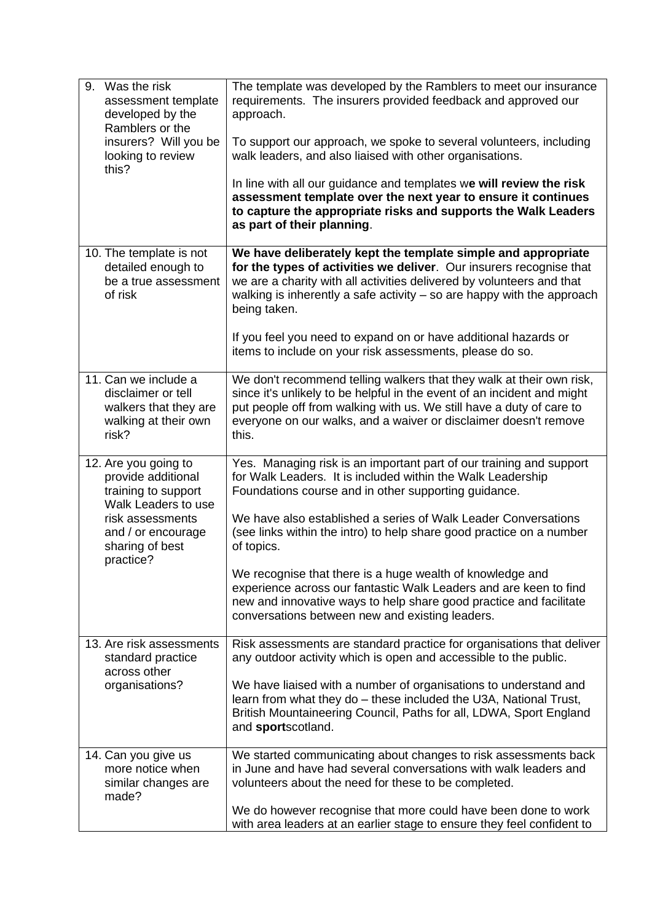| Was the risk<br>9.<br>assessment template<br>developed by the<br>Ramblers or the<br>insurers? Will you be<br>looking to review<br>this?                            | The template was developed by the Ramblers to meet our insurance<br>requirements. The insurers provided feedback and approved our<br>approach.<br>To support our approach, we spoke to several volunteers, including<br>walk leaders, and also liaised with other organisations.<br>In line with all our guidance and templates we will review the risk<br>assessment template over the next year to ensure it continues<br>to capture the appropriate risks and supports the Walk Leaders<br>as part of their planning.                                                                                      |
|--------------------------------------------------------------------------------------------------------------------------------------------------------------------|---------------------------------------------------------------------------------------------------------------------------------------------------------------------------------------------------------------------------------------------------------------------------------------------------------------------------------------------------------------------------------------------------------------------------------------------------------------------------------------------------------------------------------------------------------------------------------------------------------------|
| 10. The template is not<br>detailed enough to<br>be a true assessment<br>of risk                                                                                   | We have deliberately kept the template simple and appropriate<br>for the types of activities we deliver. Our insurers recognise that<br>we are a charity with all activities delivered by volunteers and that<br>walking is inherently a safe activity $-$ so are happy with the approach<br>being taken.<br>If you feel you need to expand on or have additional hazards or<br>items to include on your risk assessments, please do so.                                                                                                                                                                      |
| 11. Can we include a<br>disclaimer or tell<br>walkers that they are<br>walking at their own<br>risk?                                                               | We don't recommend telling walkers that they walk at their own risk,<br>since it's unlikely to be helpful in the event of an incident and might<br>put people off from walking with us. We still have a duty of care to<br>everyone on our walks, and a waiver or disclaimer doesn't remove<br>this.                                                                                                                                                                                                                                                                                                          |
| 12. Are you going to<br>provide additional<br>training to support<br>Walk Leaders to use<br>risk assessments<br>and / or encourage<br>sharing of best<br>practice? | Yes. Managing risk is an important part of our training and support<br>for Walk Leaders. It is included within the Walk Leadership<br>Foundations course and in other supporting guidance.<br>We have also established a series of Walk Leader Conversations<br>(see links within the intro) to help share good practice on a number<br>of topics.<br>We recognise that there is a huge wealth of knowledge and<br>experience across our fantastic Walk Leaders and are keen to find<br>new and innovative ways to help share good practice and facilitate<br>conversations between new and existing leaders. |
| 13. Are risk assessments<br>standard practice<br>across other<br>organisations?                                                                                    | Risk assessments are standard practice for organisations that deliver<br>any outdoor activity which is open and accessible to the public.<br>We have liaised with a number of organisations to understand and<br>learn from what they do - these included the U3A, National Trust,<br>British Mountaineering Council, Paths for all, LDWA, Sport England<br>and sportscotland.                                                                                                                                                                                                                                |
| 14. Can you give us<br>more notice when<br>similar changes are<br>made?                                                                                            | We started communicating about changes to risk assessments back<br>in June and have had several conversations with walk leaders and<br>volunteers about the need for these to be completed.<br>We do however recognise that more could have been done to work<br>with area leaders at an earlier stage to ensure they feel confident to                                                                                                                                                                                                                                                                       |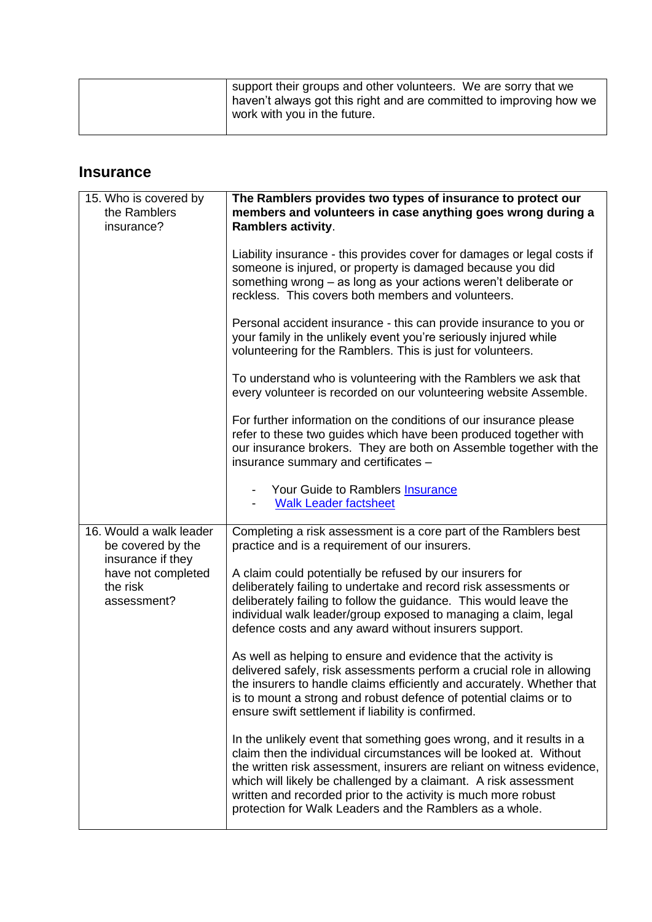| work with you in the future. |  | support their groups and other volunteers. We are sorry that we<br>haven't always got this right and are committed to improving how we |
|------------------------------|--|----------------------------------------------------------------------------------------------------------------------------------------|
|------------------------------|--|----------------------------------------------------------------------------------------------------------------------------------------|

### **Insurance**

| 15. Who is covered by<br>the Ramblers<br>insurance?               | The Ramblers provides two types of insurance to protect our<br>members and volunteers in case anything goes wrong during a<br><b>Ramblers activity.</b>                                                                                                                                                                                                                                                                |
|-------------------------------------------------------------------|------------------------------------------------------------------------------------------------------------------------------------------------------------------------------------------------------------------------------------------------------------------------------------------------------------------------------------------------------------------------------------------------------------------------|
|                                                                   | Liability insurance - this provides cover for damages or legal costs if<br>someone is injured, or property is damaged because you did<br>something wrong - as long as your actions weren't deliberate or<br>reckless. This covers both members and volunteers.                                                                                                                                                         |
|                                                                   | Personal accident insurance - this can provide insurance to you or<br>your family in the unlikely event you're seriously injured while<br>volunteering for the Ramblers. This is just for volunteers.                                                                                                                                                                                                                  |
|                                                                   | To understand who is volunteering with the Ramblers we ask that<br>every volunteer is recorded on our volunteering website Assemble.                                                                                                                                                                                                                                                                                   |
|                                                                   | For further information on the conditions of our insurance please<br>refer to these two guides which have been produced together with<br>our insurance brokers. They are both on Assemble together with the<br>insurance summary and certificates -                                                                                                                                                                    |
|                                                                   | Your Guide to Ramblers Insurance<br><b>Walk Leader factsheet</b>                                                                                                                                                                                                                                                                                                                                                       |
| 16. Would a walk leader<br>be covered by the<br>insurance if they | Completing a risk assessment is a core part of the Ramblers best<br>practice and is a requirement of our insurers.                                                                                                                                                                                                                                                                                                     |
| have not completed<br>the risk<br>assessment?                     | A claim could potentially be refused by our insurers for<br>deliberately failing to undertake and record risk assessments or<br>deliberately failing to follow the guidance. This would leave the<br>individual walk leader/group exposed to managing a claim, legal<br>defence costs and any award without insurers support.                                                                                          |
|                                                                   | As well as helping to ensure and evidence that the activity is<br>delivered safely, risk assessments perform a crucial role in allowing<br>the insurers to handle claims efficiently and accurately. Whether that<br>is to mount a strong and robust defence of potential claims or to<br>ensure swift settlement if liability is confirmed.                                                                           |
|                                                                   | In the unlikely event that something goes wrong, and it results in a<br>claim then the individual circumstances will be looked at. Without<br>the written risk assessment, insurers are reliant on witness evidence,<br>which will likely be challenged by a claimant. A risk assessment<br>written and recorded prior to the activity is much more robust<br>protection for Walk Leaders and the Ramblers as a whole. |